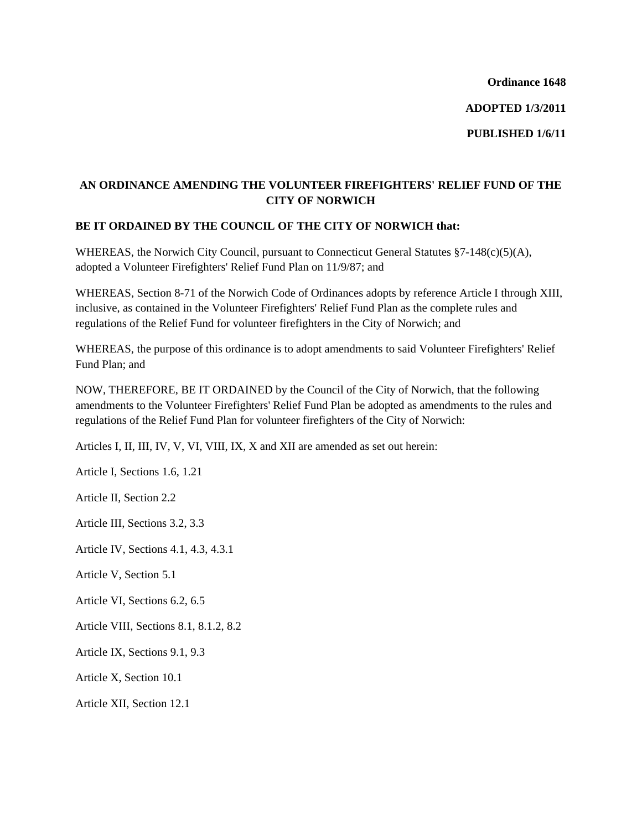**Ordinance 1648** 

**ADOPTED 1/3/2011** 

**PUBLISHED 1/6/11** 

## **AN ORDINANCE AMENDING THE VOLUNTEER FIREFIGHTERS' RELIEF FUND OF THE CITY OF NORWICH**

## **BE IT ORDAINED BY THE COUNCIL OF THE CITY OF NORWICH that:**

WHEREAS, the Norwich City Council, pursuant to Connecticut General Statutes §7-148(c)(5)(A), adopted a Volunteer Firefighters' Relief Fund Plan on 11/9/87; and

WHEREAS, Section 8-71 of the Norwich Code of Ordinances adopts by reference Article I through XIII, inclusive, as contained in the Volunteer Firefighters' Relief Fund Plan as the complete rules and regulations of the Relief Fund for volunteer firefighters in the City of Norwich; and

WHEREAS, the purpose of this ordinance is to adopt amendments to said Volunteer Firefighters' Relief Fund Plan; and

NOW, THEREFORE, BE IT ORDAINED by the Council of the City of Norwich, that the following amendments to the Volunteer Firefighters' Relief Fund Plan be adopted as amendments to the rules and regulations of the Relief Fund Plan for volunteer firefighters of the City of Norwich:

Articles I, II, III, IV, V, VI, VIII, IX, X and XII are amended as set out herein:

Article I, Sections 1.6, 1.21

Article II, Section 2.2

Article III, Sections 3.2, 3.3

Article IV, Sections 4.1, 4.3, 4.3.1

Article V, Section 5.1

Article VI, Sections 6.2, 6.5

Article VIII, Sections 8.1, 8.1.2, 8.2

Article IX, Sections 9.1, 9.3

Article X, Section 10.1

Article XII, Section 12.1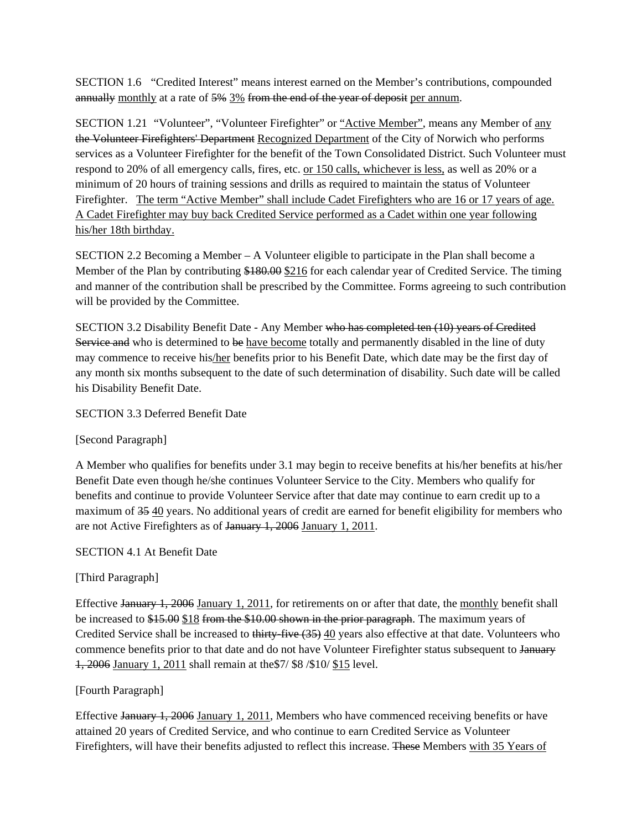SECTION 1.6 "Credited Interest" means interest earned on the Member's contributions, compounded annually monthly at a rate of 5% 3% from the end of the year of deposit per annum.

SECTION 1.21 "Volunteer", "Volunteer Firefighter" or "Active Member", means any Member of any the Volunteer Firefighters' Department Recognized Department of the City of Norwich who performs services as a Volunteer Firefighter for the benefit of the Town Consolidated District. Such Volunteer must respond to 20% of all emergency calls, fires, etc. or 150 calls, whichever is less, as well as 20% or a minimum of 20 hours of training sessions and drills as required to maintain the status of Volunteer Firefighter. The term "Active Member" shall include Cadet Firefighters who are 16 or 17 years of age. A Cadet Firefighter may buy back Credited Service performed as a Cadet within one year following his/her 18th birthday.

SECTION 2.2 Becoming a Member  $- A$  Volunteer eligible to participate in the Plan shall become a Member of the Plan by contributing \$180.00 \$216 for each calendar year of Credited Service. The timing and manner of the contribution shall be prescribed by the Committee. Forms agreeing to such contribution will be provided by the Committee.

SECTION 3.2 Disability Benefit Date - Any Member who has completed ten (10) years of Credited Service and who is determined to be have become totally and permanently disabled in the line of duty may commence to receive his/her benefits prior to his Benefit Date, which date may be the first day of any month six months subsequent to the date of such determination of disability. Such date will be called his Disability Benefit Date.

SECTION 3.3 Deferred Benefit Date

[Second Paragraph]

A Member who qualifies for benefits under 3.1 may begin to receive benefits at his/her benefits at his/her Benefit Date even though he/she continues Volunteer Service to the City. Members who qualify for benefits and continue to provide Volunteer Service after that date may continue to earn credit up to a maximum of 35 40 years. No additional years of credit are earned for benefit eligibility for members who are not Active Firefighters as of January 1, 2006 January 1, 2011.

SECTION 4.1 At Benefit Date

[Third Paragraph]

Effective January 1, 2006 January 1, 2011, for retirements on or after that date, the monthly benefit shall be increased to \$15.00 \$18 from the \$10.00 shown in the prior paragraph. The maximum years of Credited Service shall be increased to thirty-five (35) 40 years also effective at that date. Volunteers who commence benefits prior to that date and do not have Volunteer Firefighter status subsequent to January 1, 2006 January 1, 2011 shall remain at the\$7/ \$8 /\$10/ \$15 level.

## [Fourth Paragraph]

Effective January 1, 2006 January 1, 2011, Members who have commenced receiving benefits or have attained 20 years of Credited Service, and who continue to earn Credited Service as Volunteer Firefighters, will have their benefits adjusted to reflect this increase. These Members with 35 Years of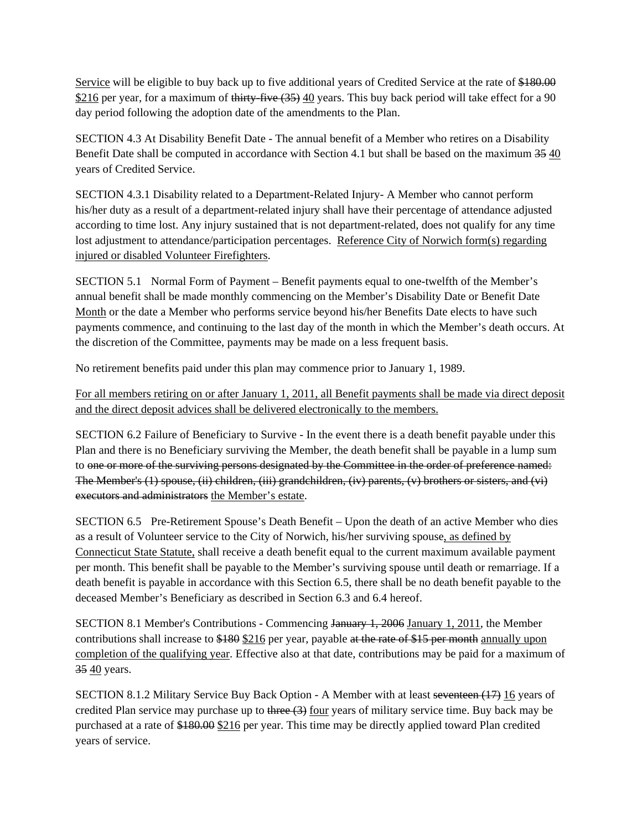Service will be eligible to buy back up to five additional years of Credited Service at the rate of \$180.00 \$216 per year, for a maximum of thirty-five (35) 40 years. This buy back period will take effect for a 90 day period following the adoption date of the amendments to the Plan.

SECTION 4.3 At Disability Benefit Date - The annual benefit of a Member who retires on a Disability Benefit Date shall be computed in accordance with Section 4.1 but shall be based on the maximum 35 40 years of Credited Service.

SECTION 4.3.1 Disability related to a Department-Related Injury- A Member who cannot perform his/her duty as a result of a department-related injury shall have their percentage of attendance adjusted according to time lost. Any injury sustained that is not department-related, does not qualify for any time lost adjustment to attendance/participation percentages. Reference City of Norwich form(s) regarding injured or disabled Volunteer Firefighters.

SECTION 5.1 Normal Form of Payment – Benefit payments equal to one-twelfth of the Member's annual benefit shall be made monthly commencing on the Member's Disability Date or Benefit Date Month or the date a Member who performs service beyond his/her Benefits Date elects to have such payments commence, and continuing to the last day of the month in which the Member's death occurs. At the discretion of the Committee, payments may be made on a less frequent basis.

No retirement benefits paid under this plan may commence prior to January 1, 1989.

For all members retiring on or after January 1, 2011, all Benefit payments shall be made via direct deposit and the direct deposit advices shall be delivered electronically to the members.

SECTION 6.2 Failure of Beneficiary to Survive - In the event there is a death benefit payable under this Plan and there is no Beneficiary surviving the Member, the death benefit shall be payable in a lump sum to one or more of the surviving persons designated by the Committee in the order of preference named: The Member's (1) spouse, (ii) children, (iii) grandchildren, (iv) parents, (v) brothers or sisters, and (vi) executors and administrators the Member's estate.

SECTION 6.5 Pre-Retirement Spouse's Death Benefit – Upon the death of an active Member who dies as a result of Volunteer service to the City of Norwich, his/her surviving spouse, as defined by Connecticut State Statute, shall receive a death benefit equal to the current maximum available payment per month. This benefit shall be payable to the Member's surviving spouse until death or remarriage. If a death benefit is payable in accordance with this Section 6.5, there shall be no death benefit payable to the deceased Member's Beneficiary as described in Section 6.3 and 6.4 hereof.

SECTION 8.1 Member's Contributions - Commencing January 1, 2006 January 1, 2011, the Member contributions shall increase to \$180 \$216 per year, payable at the rate of \$15 per month annually upon completion of the qualifying year. Effective also at that date, contributions may be paid for a maximum of 35 40 years.

SECTION 8.1.2 Military Service Buy Back Option - A Member with at least seventeen (17) 16 years of credited Plan service may purchase up to three  $(3)$  four years of military service time. Buy back may be purchased at a rate of \$180.00 \$216 per year. This time may be directly applied toward Plan credited years of service.